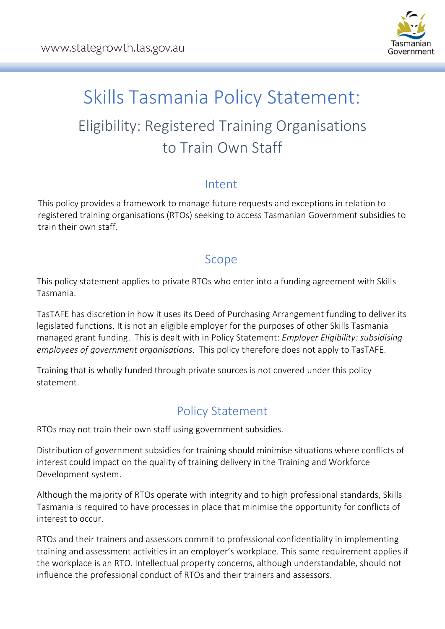

# Skills Tasmania Policy Statement: Eligibility: Registered Training Organisations to Train Own Staff

### Intent

This policy provides a framework to manage future requests and exceptions in relation to registered training organisations (RTOs) seeking to access Tasmanian Government subsidies to train their own staff.

#### Scope

This policy statement applies to private RTOs who enter into a funding agreement with Skills Tasmania.

TasTAFE has discretion in how it uses its Deed of Purchasing Arrangement funding to deliver its legislated functions. It is not an eligible employer for the purposes of other Skills Tasmania managed grant funding. This is dealt with in Policy Statement: *Employer Eligibility: subsidising employees of government organisations*. This policy therefore does not apply to TasTAFE.

Training that is wholly funded through private sources is not covered under this policy statement.

## Policy Statement

RTOs may not train their own staff using government subsidies.

Distribution of government subsidies for training should minimise situations where conflicts of interest could impact on the quality of training delivery in the Training and Workforce Development system.

Although the majority of RTOs operate with integrity and to high professional standards, Skills Tasmania is required to have processes in place that minimise the opportunity for conflicts of interest to occur.

RTOs and their trainers and assessors commit to professional confidentiality in implementing training and assessment activities in an employer's workplace. This same requirement applies if the workplace is an RTO. Intellectual property concerns, although understandable, should not influence the professional conduct of RTOs and their trainers and assessors.